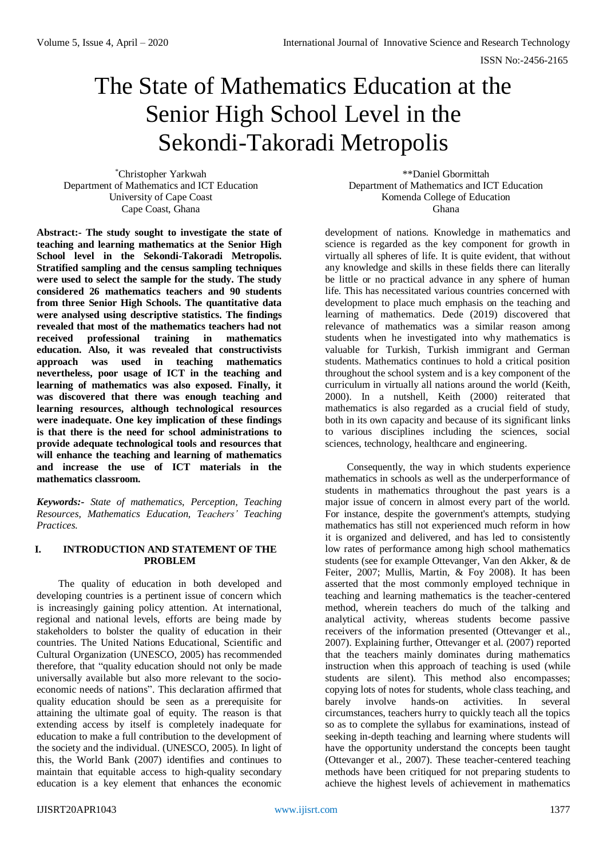# The State of Mathematics Education at the Senior High School Level in the Sekondi-Takoradi Metropolis

\*Christopher Yarkwah Department of Mathematics and ICT Education University of Cape Coast Cape Coast, Ghana

**Abstract:- The study sought to investigate the state of teaching and learning mathematics at the Senior High School level in the Sekondi-Takoradi Metropolis. Stratified sampling and the census sampling techniques were used to select the sample for the study. The study considered 26 mathematics teachers and 90 students from three Senior High Schools. The quantitative data were analysed using descriptive statistics. The findings revealed that most of the mathematics teachers had not received professional training in mathematics education. Also, it was revealed that constructivists approach was used in teaching mathematics nevertheless, poor usage of ICT in the teaching and learning of mathematics was also exposed. Finally, it was discovered that there was enough teaching and learning resources, although technological resources were inadequate. One key implication of these findings is that there is the need for school administrations to provide adequate technological tools and resources that will enhance the teaching and learning of mathematics and increase the use of ICT materials in the mathematics classroom.**

*Keywords:- State of mathematics, Perception, Teaching Resources, Mathematics Education, Teachers' Teaching Practices.*

# **I. INTRODUCTION AND STATEMENT OF THE PROBLEM**

The quality of education in both developed and developing countries is a pertinent issue of concern which is increasingly gaining policy attention. At international, regional and national levels, efforts are being made by stakeholders to bolster the quality of education in their countries. The United Nations Educational, Scientific and Cultural Organization (UNESCO, 2005) has recommended therefore, that "quality education should not only be made universally available but also more relevant to the socioeconomic needs of nations". This declaration affirmed that quality education should be seen as a prerequisite for attaining the ultimate goal of equity. The reason is that extending access by itself is completely inadequate for education to make a full contribution to the development of the society and the individual. (UNESCO, 2005). In light of this, the World Bank (2007) identifies and continues to maintain that equitable access to high-quality secondary education is a key element that enhances the economic

\*\*Daniel Gbormittah Department of Mathematics and ICT Education Komenda College of Education Ghana

development of nations. Knowledge in mathematics and science is regarded as the key component for growth in virtually all spheres of life. It is quite evident, that without any knowledge and skills in these fields there can literally be little or no practical advance in any sphere of human life. This has necessitated various countries concerned with development to place much emphasis on the teaching and learning of mathematics. Dede (2019) discovered that relevance of mathematics was a similar reason among students when he investigated into why mathematics is valuable for Turkish, Turkish immigrant and German students. Mathematics continues to hold a critical position throughout the school system and is a key component of the curriculum in virtually all nations around the world (Keith, 2000). In a nutshell, Keith (2000) reiterated that mathematics is also regarded as a crucial field of study, both in its own capacity and because of its significant links to various disciplines including the sciences, social sciences, technology, healthcare and engineering.

Consequently, the way in which students experience mathematics in schools as well as the underperformance of students in mathematics throughout the past years is a major issue of concern in almost every part of the world. For instance, despite the government's attempts, studying mathematics has still not experienced much reform in how it is organized and delivered, and has led to consistently low rates of performance among high school mathematics students (see for example Ottevanger, Van den Akker, & de Feiter, 2007; Mullis, Martin, & Foy 2008). It has been asserted that the most commonly employed technique in teaching and learning mathematics is the teacher-centered method, wherein teachers do much of the talking and analytical activity, whereas students become passive receivers of the information presented (Ottevanger et al., 2007). Explaining further, Ottevanger et al. (2007) reported that the teachers mainly dominates during mathematics instruction when this approach of teaching is used (while students are silent). This method also encompasses; copying lots of notes for students, whole class teaching, and barely involve hands-on activities. In several circumstances, teachers hurry to quickly teach all the topics so as to complete the syllabus for examinations, instead of seeking in-depth teaching and learning where students will have the opportunity understand the concepts been taught (Ottevanger et al., 2007). These teacher-centered teaching methods have been critiqued for not preparing students to achieve the highest levels of achievement in mathematics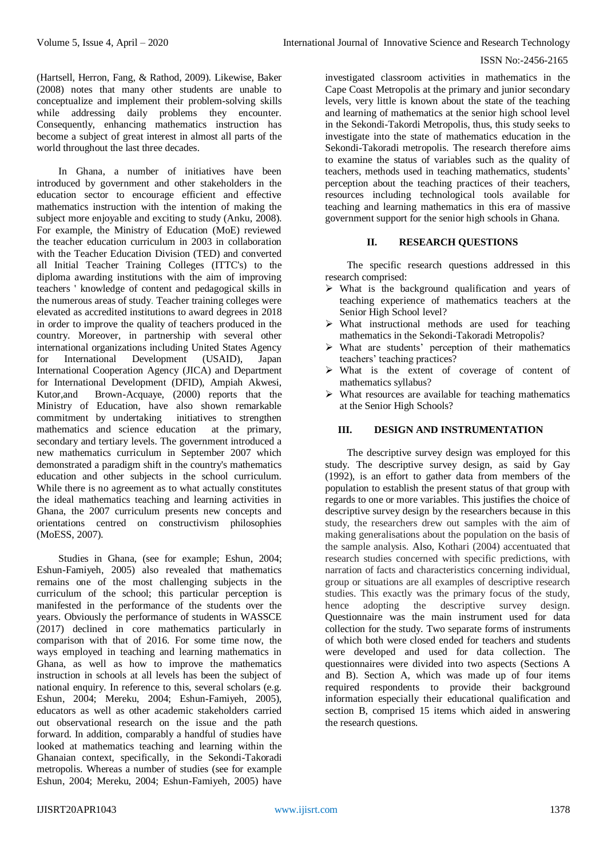(Hartsell, Herron, Fang, & Rathod, 2009). Likewise, Baker (2008) notes that many other students are unable to conceptualize and implement their problem-solving skills while addressing daily problems they encounter. Consequently, enhancing mathematics instruction has become a subject of great interest in almost all parts of the world throughout the last three decades.

In Ghana, a number of initiatives have been introduced by government and other stakeholders in the education sector to encourage efficient and effective mathematics instruction with the intention of making the subject more enjoyable and exciting to study (Anku, 2008). For example, the Ministry of Education (MoE) reviewed the teacher education curriculum in 2003 in collaboration with the Teacher Education Division (TED) and converted all Initial Teacher Training Colleges (ITTC's) to the diploma awarding institutions with the aim of improving teachers ' knowledge of content and pedagogical skills in the numerous areas of study. Teacher training colleges were elevated as accredited institutions to award degrees in 2018 in order to improve the quality of teachers produced in the country. Moreover, in partnership with several other international organizations including United States Agency for International Development (USAID), Japan International Cooperation Agency (JICA) and Department for International Development (DFID), Ampiah Akwesi, Kutor,and Brown-Acquaye, (2000) reports that the Ministry of Education, have also shown remarkable commitment by undertaking initiatives to strengthen mathematics and science education at the primary, secondary and tertiary levels. The government introduced a new mathematics curriculum in September 2007 which demonstrated a paradigm shift in the country's mathematics education and other subjects in the school curriculum. While there is no agreement as to what actually constitutes the ideal mathematics teaching and learning activities in Ghana, the 2007 curriculum presents new concepts and orientations centred on constructivism philosophies (MoESS, 2007).

Studies in Ghana, (see for example; Eshun, 2004; Eshun-Famiyeh, 2005) also revealed that mathematics remains one of the most challenging subjects in the curriculum of the school; this particular perception is manifested in the performance of the students over the years. Obviously the performance of students in WASSCE (2017) declined in core mathematics particularly in comparison with that of 2016. For some time now, the ways employed in teaching and learning mathematics in Ghana, as well as how to improve the mathematics instruction in schools at all levels has been the subject of national enquiry. In reference to this, several scholars (e.g. Eshun, 2004; Mereku, 2004; Eshun-Famiyeh, 2005), educators as well as other academic stakeholders carried out observational research on the issue and the path forward. In addition, comparably a handful of studies have looked at mathematics teaching and learning within the Ghanaian context, specifically, in the Sekondi-Takoradi metropolis. Whereas a number of studies (see for example Eshun, 2004; Mereku, 2004; Eshun-Famiyeh, 2005) have

investigated classroom activities in mathematics in the Cape Coast Metropolis at the primary and junior secondary levels, very little is known about the state of the teaching and learning of mathematics at the senior high school level in the Sekondi-Takordi Metropolis, thus, this study seeks to investigate into the state of mathematics education in the Sekondi-Takoradi metropolis. The research therefore aims to examine the status of variables such as the quality of teachers, methods used in teaching mathematics, students' perception about the teaching practices of their teachers, resources including technological tools available for teaching and learning mathematics in this era of massive government support for the senior high schools in Ghana.

# **II. RESEARCH QUESTIONS**

The specific research questions addressed in this research comprised:

- $\triangleright$  What is the background qualification and years of teaching experience of mathematics teachers at the Senior High School level?
- $\triangleright$  What instructional methods are used for teaching mathematics in the Sekondi-Takoradi Metropolis?
- What are students' perception of their mathematics teachers' teaching practices?
- $\triangleright$  What is the extent of coverage of content of mathematics syllabus?
- $\triangleright$  What resources are available for teaching mathematics at the Senior High Schools?

# **III. DESIGN AND INSTRUMENTATION**

The descriptive survey design was employed for this study. The descriptive survey design, as said by Gay (1992), is an effort to gather data from members of the population to establish the present status of that group with regards to one or more variables. This justifies the choice of descriptive survey design by the researchers because in this study, the researchers drew out samples with the aim of making generalisations about the population on the basis of the sample analysis. Also, Kothari (2004) accentuated that research studies concerned with specific predictions, with narration of facts and characteristics concerning individual, group or situations are all examples of descriptive research studies. This exactly was the primary focus of the study, hence adopting the descriptive survey design. Questionnaire was the main instrument used for data collection for the study. Two separate forms of instruments of which both were closed ended for teachers and students were developed and used for data collection. The questionnaires were divided into two aspects (Sections A and B). Section A, which was made up of four items required respondents to provide their background information especially their educational qualification and section B, comprised 15 items which aided in answering the research questions.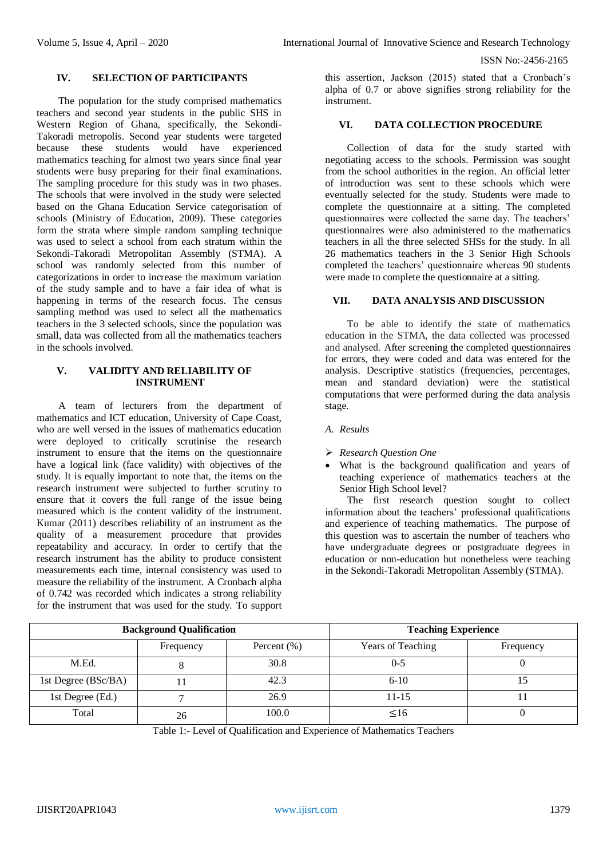#### **IV. SELECTION OF PARTICIPANTS**

The population for the study comprised mathematics teachers and second year students in the public SHS in Western Region of Ghana, specifically, the Sekondi-Takoradi metropolis. Second year students were targeted because these students would have experienced mathematics teaching for almost two years since final year students were busy preparing for their final examinations. The sampling procedure for this study was in two phases. The schools that were involved in the study were selected based on the Ghana Education Service categorisation of schools (Ministry of Education, 2009). These categories form the strata where simple random sampling technique was used to select a school from each stratum within the Sekondi-Takoradi Metropolitan Assembly (STMA). A school was randomly selected from this number of categorizations in order to increase the maximum variation of the study sample and to have a fair idea of what is happening in terms of the research focus. The census sampling method was used to select all the mathematics teachers in the 3 selected schools, since the population was small, data was collected from all the mathematics teachers in the schools involved.

# **V. VALIDITY AND RELIABILITY OF INSTRUMENT**

A team of lecturers from the department of mathematics and ICT education, University of Cape Coast, who are well versed in the issues of mathematics education were deployed to critically scrutinise the research instrument to ensure that the items on the questionnaire have a logical link (face validity) with objectives of the study. It is equally important to note that, the items on the research instrument were subjected to further scrutiny to ensure that it covers the full range of the issue being measured which is the content validity of the instrument. Kumar (2011) describes reliability of an instrument as the quality of a measurement procedure that provides repeatability and accuracy. In order to certify that the research instrument has the ability to produce consistent measurements each time, internal consistency was used to measure the reliability of the instrument. A Cronbach alpha of 0.742 was recorded which indicates a strong reliability for the instrument that was used for the study. To support

this assertion, Jackson (2015) stated that a Cronbach's alpha of 0.7 or above signifies strong reliability for the instrument.

#### **VI. DATA COLLECTION PROCEDURE**

Collection of data for the study started with negotiating access to the schools. Permission was sought from the school authorities in the region. An official letter of introduction was sent to these schools which were eventually selected for the study. Students were made to complete the questionnaire at a sitting. The completed questionnaires were collected the same day. The teachers' questionnaires were also administered to the mathematics teachers in all the three selected SHSs for the study. In all 26 mathematics teachers in the 3 Senior High Schools completed the teachers' questionnaire whereas 90 students were made to complete the questionnaire at a sitting.

#### **VII. DATA ANALYSIS AND DISCUSSION**

To be able to identify the state of mathematics education in the STMA, the data collected was processed and analysed. After screening the completed questionnaires for errors, they were coded and data was entered for the analysis. Descriptive statistics (frequencies, percentages, mean and standard deviation) were the statistical computations that were performed during the data analysis stage.

- *A. Results*
- *Research Question One*
- What is the background qualification and years of teaching experience of mathematics teachers at the Senior High School level?

The first research question sought to collect information about the teachers' professional qualifications and experience of teaching mathematics. The purpose of this question was to ascertain the number of teachers who have undergraduate degrees or postgraduate degrees in education or non-education but nonetheless were teaching in the Sekondi-Takoradi Metropolitan Assembly (STMA).

| <b>Background Qualification</b> |           |                 | <b>Teaching Experience</b> |           |
|---------------------------------|-----------|-----------------|----------------------------|-----------|
|                                 | Frequency | Percent $(\% )$ | <b>Years of Teaching</b>   | Frequency |
| M.Ed.                           |           | 30.8            | $0 - 5$                    |           |
| 1st Degree (BSc/BA)             |           | 42.3            | $6 - 10$                   |           |
| 1st Degree (Ed.)                |           | 26.9            | $11 - 15$                  |           |
| Total                           | 26        | 100.0           | $\leq 16$                  |           |

Table 1:*-* Level of Qualification and Experience of Mathematics Teachers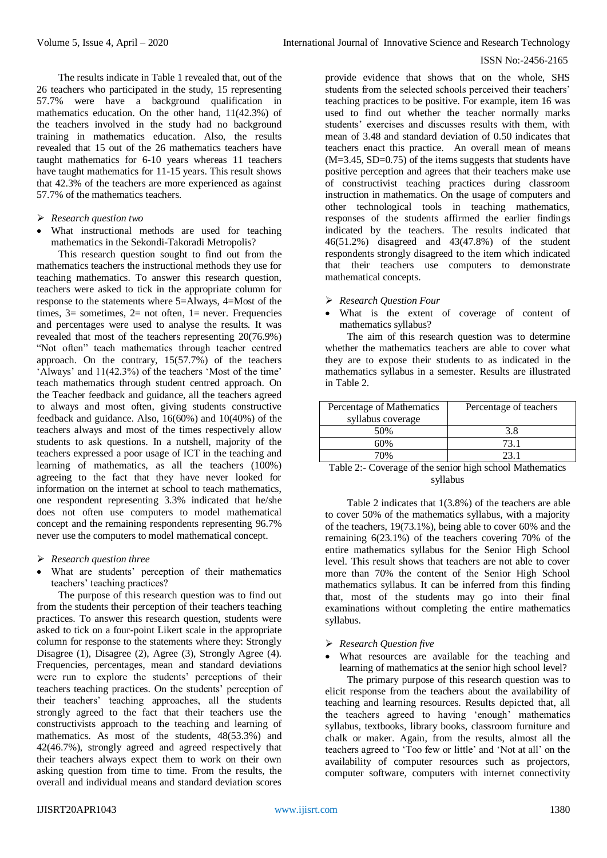The results indicate in Table 1 revealed that, out of the 26 teachers who participated in the study, 15 representing 57.7% were have a background qualification in mathematics education. On the other hand, 11(42.3%) of the teachers involved in the study had no background training in mathematics education. Also, the results revealed that 15 out of the 26 mathematics teachers have taught mathematics for 6-10 years whereas 11 teachers have taught mathematics for 11-15 years. This result shows that 42.3% of the teachers are more experienced as against 57.7% of the mathematics teachers.

- *Research question two*
- What instructional methods are used for teaching mathematics in the Sekondi-Takoradi Metropolis?

This research question sought to find out from the mathematics teachers the instructional methods they use for teaching mathematics. To answer this research question, teachers were asked to tick in the appropriate column for response to the statements where 5=Always, 4=Most of the times,  $3=$  sometimes,  $2=$  not often,  $1=$  never. Frequencies and percentages were used to analyse the results. It was revealed that most of the teachers representing 20(76.9%) "Not often" teach mathematics through teacher centred approach. On the contrary, 15(57.7%) of the teachers 'Always' and 11(42.3%) of the teachers 'Most of the time' teach mathematics through student centred approach. On the Teacher feedback and guidance, all the teachers agreed to always and most often, giving students constructive feedback and guidance. Also, 16(60%) and 10(40%) of the teachers always and most of the times respectively allow students to ask questions. In a nutshell, majority of the teachers expressed a poor usage of ICT in the teaching and learning of mathematics, as all the teachers (100%) agreeing to the fact that they have never looked for information on the internet at school to teach mathematics, one respondent representing 3.3% indicated that he/she does not often use computers to model mathematical concept and the remaining respondents representing 96.7% never use the computers to model mathematical concept.

- *Research question three*
- What are students' perception of their mathematics teachers' teaching practices?

The purpose of this research question was to find out from the students their perception of their teachers teaching practices. To answer this research question, students were asked to tick on a four-point Likert scale in the appropriate column for response to the statements where they: Strongly Disagree (1), Disagree (2), Agree (3), Strongly Agree (4). Frequencies, percentages, mean and standard deviations were run to explore the students' perceptions of their teachers teaching practices. On the students' perception of their teachers' teaching approaches, all the students strongly agreed to the fact that their teachers use the constructivists approach to the teaching and learning of mathematics. As most of the students, 48(53.3%) and 42(46.7%), strongly agreed and agreed respectively that their teachers always expect them to work on their own asking question from time to time. From the results, the overall and individual means and standard deviation scores

provide evidence that shows that on the whole, SHS students from the selected schools perceived their teachers' teaching practices to be positive. For example, item 16 was used to find out whether the teacher normally marks students' exercises and discusses results with them, with mean of 3.48 and standard deviation of 0.50 indicates that teachers enact this practice. An overall mean of means (M=3.45, SD=0.75) of the items suggests that students have positive perception and agrees that their teachers make use of constructivist teaching practices during classroom instruction in mathematics. On the usage of computers and other technological tools in teaching mathematics, responses of the students affirmed the earlier findings indicated by the teachers. The results indicated that 46(51.2%) disagreed and 43(47.8%) of the student respondents strongly disagreed to the item which indicated that their teachers use computers to demonstrate mathematical concepts.

*Research Question Four*

 What is the extent of coverage of content of mathematics syllabus?

The aim of this research question was to determine whether the mathematics teachers are able to cover what they are to expose their students to as indicated in the mathematics syllabus in a semester. Results are illustrated in Table 2.

| Percentage of Mathematics<br>syllabus coverage | Percentage of teachers |  |
|------------------------------------------------|------------------------|--|
| 50%                                            | 3.8                    |  |
| 60%                                            | 73.1                   |  |
| 70%                                            | 23 1                   |  |

Table 2:*-* Coverage of the senior high school Mathematics syllabus

Table 2 indicates that 1(3.8%) of the teachers are able to cover 50% of the mathematics syllabus, with a majority of the teachers, 19(73.1%), being able to cover 60% and the remaining 6(23.1%) of the teachers covering 70% of the entire mathematics syllabus for the Senior High School level. This result shows that teachers are not able to cover more than 70% the content of the Senior High School mathematics syllabus. It can be inferred from this finding that, most of the students may go into their final examinations without completing the entire mathematics syllabus.

#### *Research Question five*

 What resources are available for the teaching and learning of mathematics at the senior high school level?

The primary purpose of this research question was to elicit response from the teachers about the availability of teaching and learning resources. Results depicted that, all the teachers agreed to having 'enough' mathematics syllabus, textbooks, library books, classroom furniture and chalk or maker. Again, from the results, almost all the teachers agreed to 'Too few or little' and 'Not at all' on the availability of computer resources such as projectors, computer software, computers with internet connectivity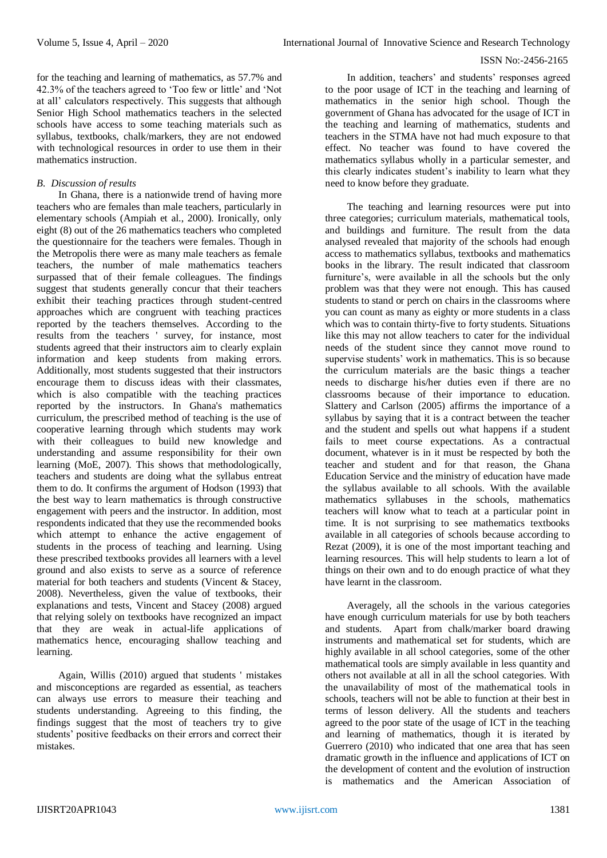for the teaching and learning of mathematics, as 57.7% and 42.3% of the teachers agreed to 'Too few or little' and 'Not at all' calculators respectively. This suggests that although Senior High School mathematics teachers in the selected schools have access to some teaching materials such as syllabus, textbooks, chalk/markers, they are not endowed with technological resources in order to use them in their mathematics instruction.

## *B. Discussion of results*

In Ghana, there is a nationwide trend of having more teachers who are females than male teachers, particularly in elementary schools (Ampiah et al., 2000). Ironically, only eight (8) out of the 26 mathematics teachers who completed the questionnaire for the teachers were females. Though in the Metropolis there were as many male teachers as female teachers, the number of male mathematics teachers surpassed that of their female colleagues. The findings suggest that students generally concur that their teachers exhibit their teaching practices through student-centred approaches which are congruent with teaching practices reported by the teachers themselves. According to the results from the teachers ' survey, for instance, most students agreed that their instructors aim to clearly explain information and keep students from making errors. Additionally, most students suggested that their instructors encourage them to discuss ideas with their classmates, which is also compatible with the teaching practices reported by the instructors. In Ghana's mathematics curriculum, the prescribed method of teaching is the use of cooperative learning through which students may work with their colleagues to build new knowledge and understanding and assume responsibility for their own learning (MoE, 2007). This shows that methodologically, teachers and students are doing what the syllabus entreat them to do. It confirms the argument of Hodson (1993) that the best way to learn mathematics is through constructive engagement with peers and the instructor. In addition, most respondents indicated that they use the recommended books which attempt to enhance the active engagement of students in the process of teaching and learning. Using these prescribed textbooks provides all learners with a level ground and also exists to serve as a source of reference material for both teachers and students (Vincent & Stacey, 2008). Nevertheless, given the value of textbooks, their explanations and tests, Vincent and Stacey (2008) argued that relying solely on textbooks have recognized an impact that they are weak in actual-life applications of mathematics hence, encouraging shallow teaching and learning.

Again, Willis (2010) argued that students ' mistakes and misconceptions are regarded as essential, as teachers can always use errors to measure their teaching and students understanding. Agreeing to this finding, the findings suggest that the most of teachers try to give students' positive feedbacks on their errors and correct their mistakes.

In addition, teachers' and students' responses agreed to the poor usage of ICT in the teaching and learning of mathematics in the senior high school. Though the government of Ghana has advocated for the usage of ICT in the teaching and learning of mathematics, students and teachers in the STMA have not had much exposure to that effect. No teacher was found to have covered the mathematics syllabus wholly in a particular semester, and this clearly indicates student's inability to learn what they need to know before they graduate.

The teaching and learning resources were put into three categories; curriculum materials, mathematical tools, and buildings and furniture. The result from the data analysed revealed that majority of the schools had enough access to mathematics syllabus, textbooks and mathematics books in the library. The result indicated that classroom furniture's, were available in all the schools but the only problem was that they were not enough. This has caused students to stand or perch on chairs in the classrooms where you can count as many as eighty or more students in a class which was to contain thirty-five to forty students. Situations like this may not allow teachers to cater for the individual needs of the student since they cannot move round to supervise students' work in mathematics. This is so because the curriculum materials are the basic things a teacher needs to discharge his/her duties even if there are no classrooms because of their importance to education. Slattery and Carlson (2005) affirms the importance of a syllabus by saying that it is a contract between the teacher and the student and spells out what happens if a student fails to meet course expectations. As a contractual document, whatever is in it must be respected by both the teacher and student and for that reason, the Ghana Education Service and the ministry of education have made the syllabus available to all schools. With the available mathematics syllabuses in the schools, mathematics teachers will know what to teach at a particular point in time. It is not surprising to see mathematics textbooks available in all categories of schools because according to Rezat (2009), it is one of the most important teaching and learning resources. This will help students to learn a lot of things on their own and to do enough practice of what they have learnt in the classroom.

Averagely, all the schools in the various categories have enough curriculum materials for use by both teachers and students. Apart from chalk/marker board drawing instruments and mathematical set for students, which are highly available in all school categories, some of the other mathematical tools are simply available in less quantity and others not available at all in all the school categories. With the unavailability of most of the mathematical tools in schools, teachers will not be able to function at their best in terms of lesson delivery. All the students and teachers agreed to the poor state of the usage of ICT in the teaching and learning of mathematics, though it is iterated by Guerrero (2010) who indicated that one area that has seen dramatic growth in the influence and applications of ICT on the development of content and the evolution of instruction is mathematics and the American Association of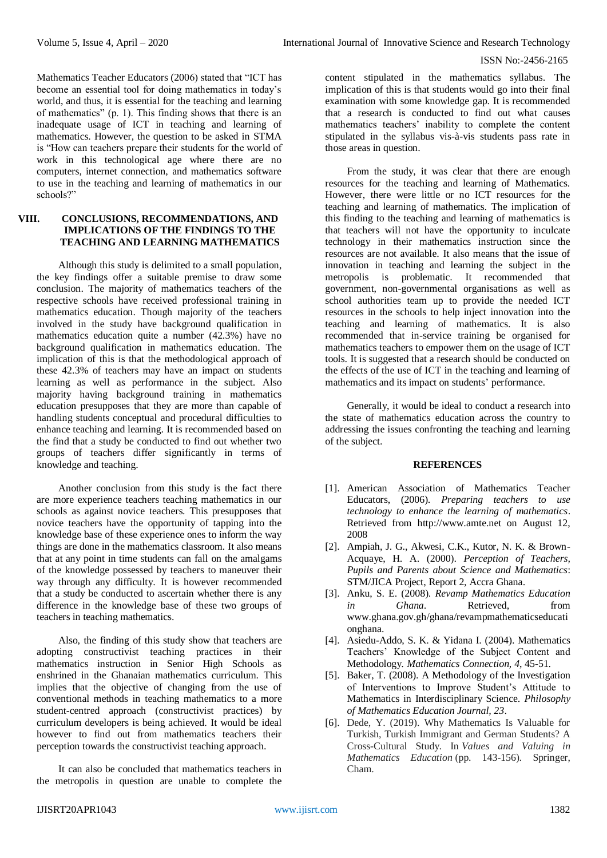Mathematics Teacher Educators (2006) stated that "ICT has become an essential tool for doing mathematics in today's world, and thus, it is essential for the teaching and learning of mathematics" (p. 1). This finding shows that there is an inadequate usage of ICT in teaching and learning of mathematics. However, the question to be asked in STMA is "How can teachers prepare their students for the world of work in this technological age where there are no computers, internet connection, and mathematics software to use in the teaching and learning of mathematics in our schools?"

# **VIII. CONCLUSIONS, RECOMMENDATIONS, AND IMPLICATIONS OF THE FINDINGS TO THE TEACHING AND LEARNING MATHEMATICS**

Although this study is delimited to a small population, the key findings offer a suitable premise to draw some conclusion. The majority of mathematics teachers of the respective schools have received professional training in mathematics education. Though majority of the teachers involved in the study have background qualification in mathematics education quite a number (42.3%) have no background qualification in mathematics education. The implication of this is that the methodological approach of these 42.3% of teachers may have an impact on students learning as well as performance in the subject. Also majority having background training in mathematics education presupposes that they are more than capable of handling students conceptual and procedural difficulties to enhance teaching and learning. It is recommended based on the find that a study be conducted to find out whether two groups of teachers differ significantly in terms of knowledge and teaching.

Another conclusion from this study is the fact there are more experience teachers teaching mathematics in our schools as against novice teachers. This presupposes that novice teachers have the opportunity of tapping into the knowledge base of these experience ones to inform the way things are done in the mathematics classroom. It also means that at any point in time students can fall on the amalgams of the knowledge possessed by teachers to maneuver their way through any difficulty. It is however recommended that a study be conducted to ascertain whether there is any difference in the knowledge base of these two groups of teachers in teaching mathematics.

Also, the finding of this study show that teachers are adopting constructivist teaching practices in their mathematics instruction in Senior High Schools as enshrined in the Ghanaian mathematics curriculum. This implies that the objective of changing from the use of conventional methods in teaching mathematics to a more student-centred approach (constructivist practices) by curriculum developers is being achieved. It would be ideal however to find out from mathematics teachers their perception towards the constructivist teaching approach.

It can also be concluded that mathematics teachers in the metropolis in question are unable to complete the

content stipulated in the mathematics syllabus. The implication of this is that students would go into their final examination with some knowledge gap. It is recommended that a research is conducted to find out what causes mathematics teachers' inability to complete the content stipulated in the syllabus vis-à-vis students pass rate in those areas in question.

From the study, it was clear that there are enough resources for the teaching and learning of Mathematics. However, there were little or no ICT resources for the teaching and learning of mathematics. The implication of this finding to the teaching and learning of mathematics is that teachers will not have the opportunity to inculcate technology in their mathematics instruction since the resources are not available. It also means that the issue of innovation in teaching and learning the subject in the metropolis is problematic. It recommended that government, non-governmental organisations as well as school authorities team up to provide the needed ICT resources in the schools to help inject innovation into the teaching and learning of mathematics. It is also recommended that in-service training be organised for mathematics teachers to empower them on the usage of ICT tools. It is suggested that a research should be conducted on the effects of the use of ICT in the teaching and learning of mathematics and its impact on students' performance.

Generally, it would be ideal to conduct a research into the state of mathematics education across the country to addressing the issues confronting the teaching and learning of the subject.

#### **REFERENCES**

- [1]. American Association of Mathematics Teacher Educators, (2006). *Preparing teachers to use technology to enhance the learning of mathematics*. Retrieved from http://www.amte.net on August 12, 2008
- [2]. Ampiah, J. G., Akwesi, C.K., Kutor, N. K. & Brown-Acquaye, H. A. (2000). *Perception of Teachers, Pupils and Parents about Science and Mathematics*: STM/JICA Project, Report 2, Accra Ghana.
- [3]. Anku, S. E. (2008). *Revamp Mathematics Education in Ghana*. Retrieved, from [www.ghana.gov.gh/ghana/revampmathematicse](http://www.ghana.gov.gh/ghana/revampmathematics)ducati onghana.
- [4]. Asiedu-Addo, S. K. & Yidana I. (2004). Mathematics Teachers' Knowledge of the Subject Content and Methodology*. Mathematics Connection, 4*, 45-51.
- [5]. Baker, T. (2008). A Methodology of the Investigation of Interventions to Improve Student's Attitude to Mathematics in Interdisciplinary Science. *Philosophy of Mathematics Education Journal, 23*.
- [6]. Dede, Y. (2019). Why Mathematics Is Valuable for Turkish, Turkish Immigrant and German Students? A Cross-Cultural Study. In *Values and Valuing in Mathematics Education* (pp. 143-156). Springer, Cham.